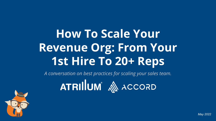# **How To Scale Your Revenue Org: From Your 1st Hire To 20+ Reps**

*A conversation on best practices for scaling your sales team.*

**ATRILUM** A ACCORD

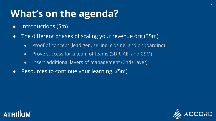# **What's on the agenda?**

- Introductions (5m)
- The different phases of scaling your revenue org (35m)
	- Proof of concept (lead gen, selling, closing, and onboarding)
	- Prove success for a team of teams (SDR, AE, and CSM)
	- Insert additional layers of management (2nd+ layer)
- Resources to continue your learning…(5m)



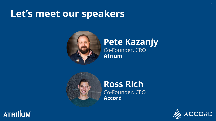## **Let's meet our speakers**



## **Pete Kazanjy** Co-Founder, CRO **Atrium**



## **Ross Rich** Co-Founder, CEO **Accord**



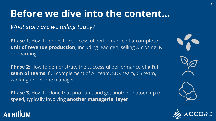# **Before we dive into the content…**

*What story are we telling today?*

**Phase 1**: How to prove the successful performance of **a complete unit of revenue production**, including lead gen, selling & closing, & onboarding

**Phase 2**: How to demonstrate the successful performance of **a full team of teams**; full complement of AE team, SDR team, CS team, working under one manager

**Phase 3**: How to clone that prior unit and get another platoon up to speed, typically involving **another managerial layer** 

## **ATRILUM**



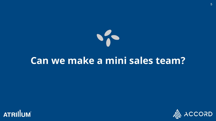

## **Can we make a mini sales team?**



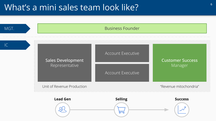## What's a mini sales team look like?

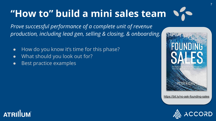### $\sqrt{2}$ **"How to" build a mini sales team**

*Prove successful performance of a complete unit of revenue production, including lead gen, selling & closing, & onboarding.*

- How do you know it's time for this phase?
- What should you look out for?
- Best practice examples



7

<https://bit.ly/no-ask-founding-sales>



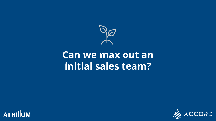

## **Can we max out an initial sales team?**



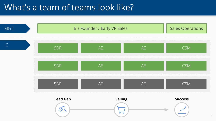## What's a team of teams look like?

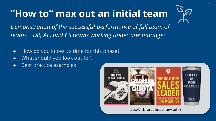# **"How to" max out an initial team**



*Demonstration of the successful performance of full team of teams. SDR, AE, and CS teams working under one manager.*

- How do you know it's time for this phase?
- What should you look out for?
- Best practice examples



<https://bit.ly/sales-leader-survival-kit>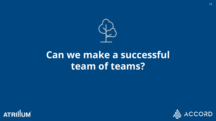

# **Can we make a successful team of teams?**



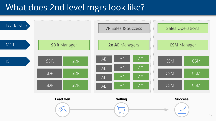## What does 2nd level mgrs look like?

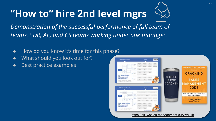# **"How to" hire 2nd level mgrs**



*Demonstration of the successful performance of full team of teams. SDR, AE, and CS teams working under one manager.*

- How do you know it's time for this phase?
- What should you look out for?
- Best practice examples



<https://bit.ly/sales-management-survival-kit>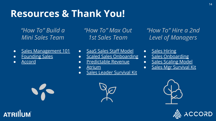# **Resources & Thank You!**

*"How To" Build a Mini Sales Team*

- [Sales Management 101](https://docs.google.com/document/d/1V3MCLqv1yH4wbINIz7QUFM8w4X2ziSWs-zzy8nA-NE0/edit?usp=sharing)
- **[Founding Sales](https://salesnerds.atriumhq.com/founding-sales)**
- **[Accord](https://inaccord.com/)**

**ATRILUM** 

*"How To" Max Out 1st Sales Team*

- [SaaS Sales Staff Model](https://kazanjy.svbtle.com/saas-sales-staffing-and-scaling-model)
- [Scaled Sales Onboarding](http://www.forentrepreneurs.com/onboarding/)
- [Predictable Revenue](https://www.amazon.com/Predictable-Revenue-Business-Practices-Salesforce-com/dp/0984380213)
- [Atrium](http://atriumhq.com/)
- **•** [Sales Leader Survival Kit](https://bit.ly/sales-leader-survival-kit)

*"How To" Hire a 2nd Level of Managers*

- [Sales Hiring](http://firstround.com/review/the-anatomy-of-the-perfect-sales-hiring-process/)
- [Sales Onboarding](http://firstround.com/review/youre-losing-hundreds-of-thousands-of-dollars-because-of-poor-sales-onboarding/)
- [Sales Scaling Model](https://kazanjy.svbtle.com/saas-sales-staffing-and-scaling-model)
- [Sales Mgr Survival Kit](https://bit.ly/sales-management-survival-kit)







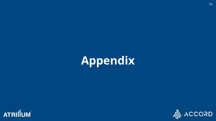# **Appendix**



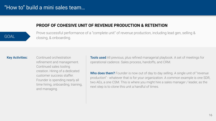**PROOF OF COHESIVE UNIT OF REVENUE PRODUCTION & RETENTION** 

Prove successful performance of a "complete unit" of revenue production, including lead gen, selling & closing, & onboarding.

#### Key Activities:

Continued orchestration refinement and management. Continued sales tooling creation. Hiring of a dedicated customer success staffer. Founder is spending nearly all time hiring, onboarding, training, and managing.

**Tools used** All previous, plus refined managerial playbook. A set of meetings for operational cadence. Sales process, handoffs, and CRM.

Who does them? Founder is now out of day to day selling. A single unit of "revenue" production" - whatever that is for your organization. A common example is one SDR, two AEs, a one CSM. This is where you might hire a sales manager / leader, as the next step is to clone this unit a handful of times.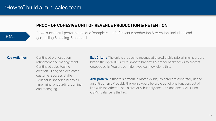### **PROOF OF COHESIVE UNIT OF REVENUE PRODUCTION & RETENTION**

Prove successful performance of a "complete unit" of revenue production & retention, including lead gen, selling & closing, & onboarding.

#### Key Activities:

Continued orchestration refinement and management. Continued sales tooling creation. Hiring of a dedicated customer success staffer. Founder is spending nearly all time hiring, onboarding, training, and managing.

**Exit Criteria** The unit is producing revenue at a predictable rate, all members are hitting their goal KPIs, with smooth handoffs & proper backchecks to prevent dropped balls. You are confident you can now clone this.

**Anti-pattern** In that this pattern is more flexible, it's harder to concretely define an anti pattern. Probably the worst would be scale out of one function, out of line with the others. That is, five AEs, but only one SDR, and one CSM. Or no CSMs. Balance is the key.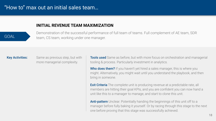#### **INITIAL REVENUE TEAM MAXIMIZATION**

Demonstration of the successful performance of full team of teams. Full complement of AE team, SDR team, CS team, working under one manager.

#### Key Activities:

Same as previous step, but with more managerial complexity.

**Tools used** Same as before, but with more focus on orchestration and managerial tooling & process. Particularly investment in analytics.

Who does them? If you haven't yet hired a sales manager, this is where you might. Alternatively, you might wait until you understand the playbook, and then bring in someone.

**Exit Criteria** The complete unit is producing revenue at a predictable rate, all members are hitting their goal KPIs, and you are confident you can now hand a unit like this to a manager to manage, and start to clone this unit.

Anti-pattern Unclear. Potentially handing the beginnings of this unit off to a manager before fully baking it yourself. Or by racing through this stage to the next one before proving that this stage was successfully achieved.